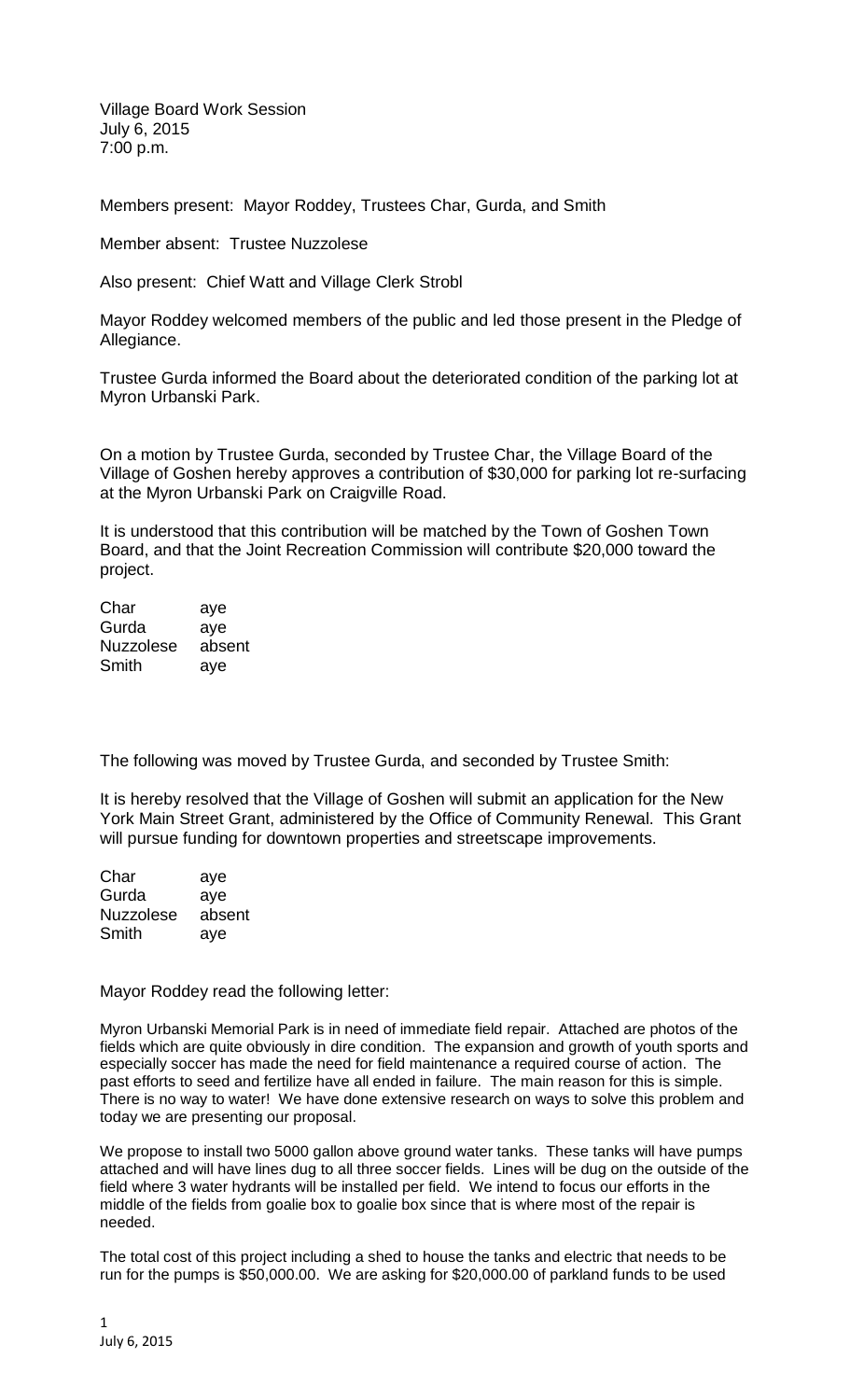Village Board Work Session July 6, 2015 7:00 p.m.

Members present: Mayor Roddey, Trustees Char, Gurda, and Smith

Member absent: Trustee Nuzzolese

Also present: Chief Watt and Village Clerk Strobl

Mayor Roddey welcomed members of the public and led those present in the Pledge of Allegiance.

Trustee Gurda informed the Board about the deteriorated condition of the parking lot at Myron Urbanski Park.

On a motion by Trustee Gurda, seconded by Trustee Char, the Village Board of the Village of Goshen hereby approves a contribution of \$30,000 for parking lot re-surfacing at the Myron Urbanski Park on Craigville Road.

It is understood that this contribution will be matched by the Town of Goshen Town Board, and that the Joint Recreation Commission will contribute \$20,000 toward the project.

Char aye Gurda aye Nuzzolese absent Smith aye

The following was moved by Trustee Gurda, and seconded by Trustee Smith:

It is hereby resolved that the Village of Goshen will submit an application for the New York Main Street Grant, administered by the Office of Community Renewal. This Grant will pursue funding for downtown properties and streetscape improvements.

| Char             | aye    |
|------------------|--------|
| Gurda            | aye    |
| <b>Nuzzolese</b> | absent |
| Smith            | aye    |

Mayor Roddey read the following letter:

Myron Urbanski Memorial Park is in need of immediate field repair. Attached are photos of the fields which are quite obviously in dire condition. The expansion and growth of youth sports and especially soccer has made the need for field maintenance a required course of action. The past efforts to seed and fertilize have all ended in failure. The main reason for this is simple. There is no way to water! We have done extensive research on ways to solve this problem and today we are presenting our proposal.

We propose to install two 5000 gallon above ground water tanks. These tanks will have pumps attached and will have lines dug to all three soccer fields. Lines will be dug on the outside of the field where 3 water hydrants will be installed per field. We intend to focus our efforts in the middle of the fields from goalie box to goalie box since that is where most of the repair is needed.

The total cost of this project including a shed to house the tanks and electric that needs to be run for the pumps is \$50,000.00. We are asking for \$20,000.00 of parkland funds to be used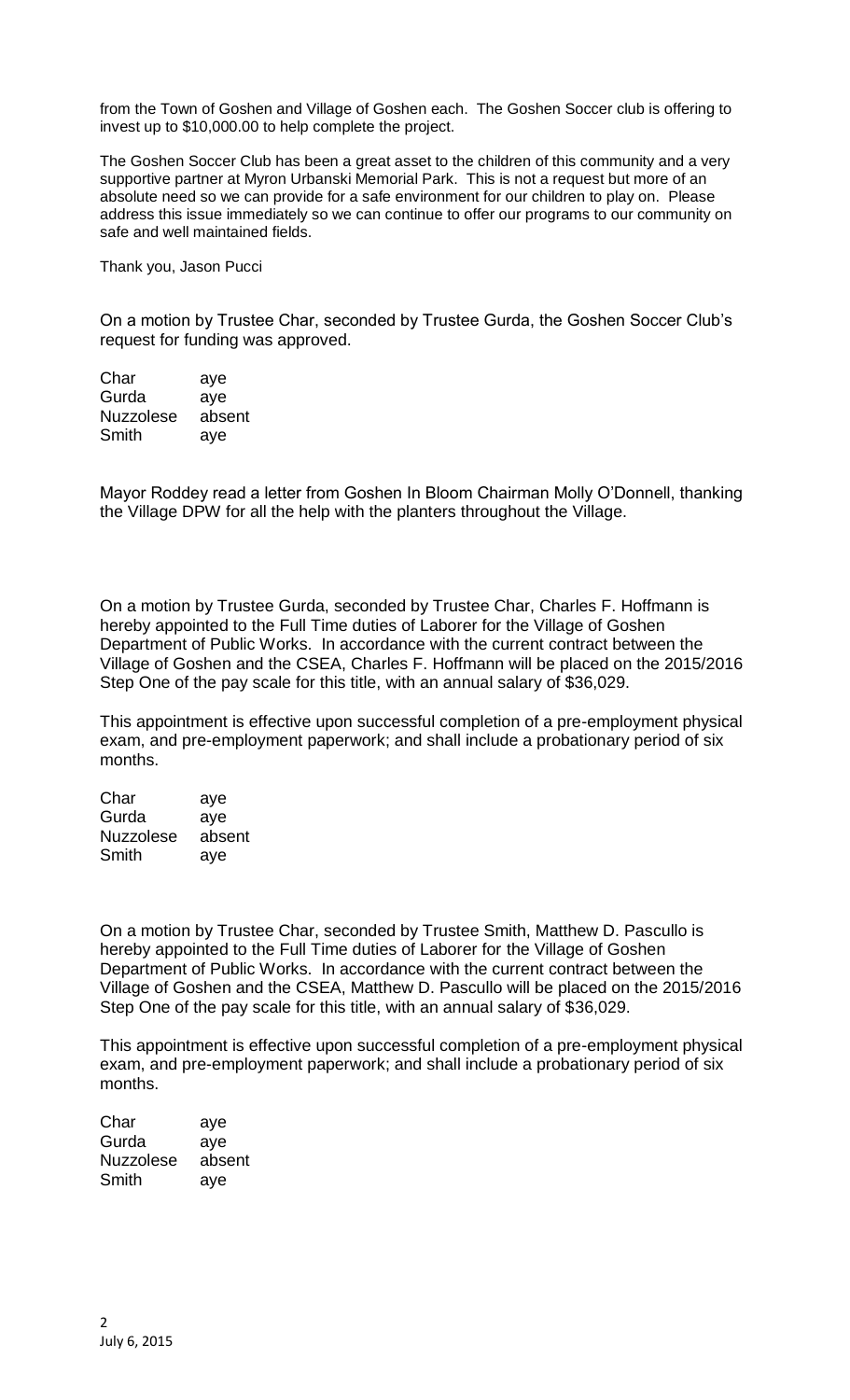from the Town of Goshen and Village of Goshen each. The Goshen Soccer club is offering to invest up to \$10,000.00 to help complete the project.

The Goshen Soccer Club has been a great asset to the children of this community and a very supportive partner at Myron Urbanski Memorial Park. This is not a request but more of an absolute need so we can provide for a safe environment for our children to play on. Please address this issue immediately so we can continue to offer our programs to our community on safe and well maintained fields.

Thank you, Jason Pucci

On a motion by Trustee Char, seconded by Trustee Gurda, the Goshen Soccer Club's request for funding was approved.

Char aye Gurda aye Nuzzolese absent Smith aye

Mayor Roddey read a letter from Goshen In Bloom Chairman Molly O'Donnell, thanking the Village DPW for all the help with the planters throughout the Village.

On a motion by Trustee Gurda, seconded by Trustee Char, Charles F. Hoffmann is hereby appointed to the Full Time duties of Laborer for the Village of Goshen Department of Public Works. In accordance with the current contract between the Village of Goshen and the CSEA, Charles F. Hoffmann will be placed on the 2015/2016 Step One of the pay scale for this title, with an annual salary of \$36,029.

This appointment is effective upon successful completion of a pre-employment physical exam, and pre-employment paperwork; and shall include a probationary period of six months.

Char aye Gurda aye Nuzzolese absent Smith aye

On a motion by Trustee Char, seconded by Trustee Smith, Matthew D. Pascullo is hereby appointed to the Full Time duties of Laborer for the Village of Goshen Department of Public Works. In accordance with the current contract between the Village of Goshen and the CSEA, Matthew D. Pascullo will be placed on the 2015/2016 Step One of the pay scale for this title, with an annual salary of \$36,029.

This appointment is effective upon successful completion of a pre-employment physical exam, and pre-employment paperwork; and shall include a probationary period of six months.

Char aye Gurda aye Nuzzolese absent Smith aye